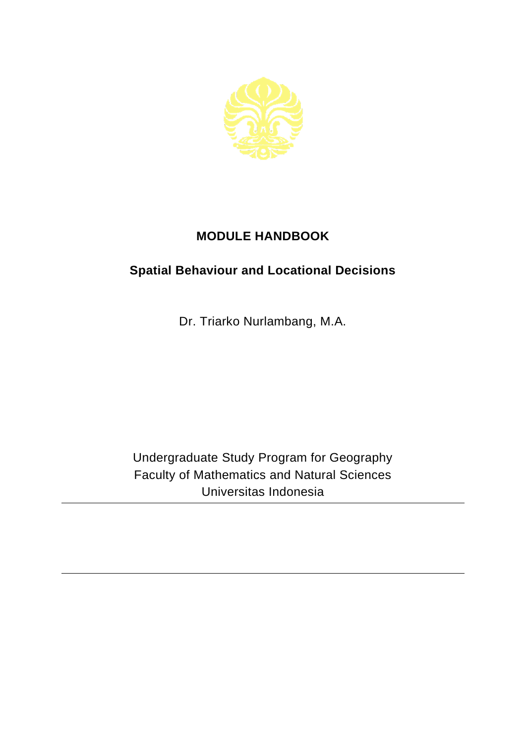

## **MODULE HANDBOOK**

## **Spatial Behaviour and Locational Decisions**

Dr. Triarko Nurlambang, M.A.

Undergraduate Study Program for Geography Faculty of Mathematics and Natural Sciences Universitas Indonesia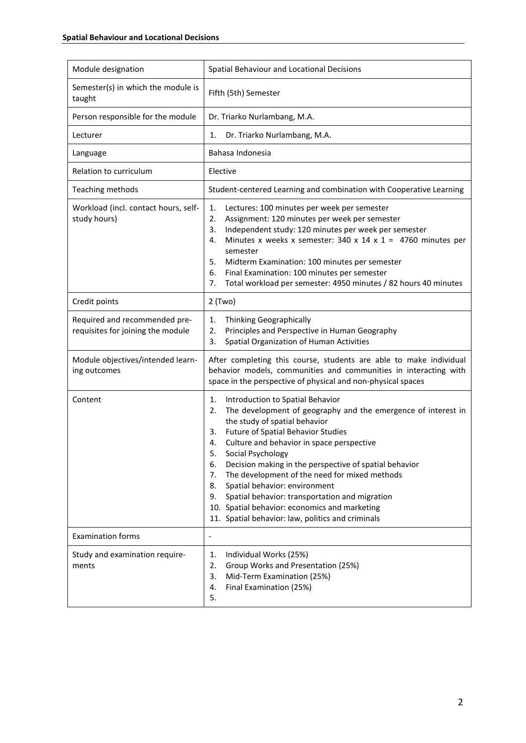| Module designation                                                 | Spatial Behaviour and Locational Decisions                                                                                                                                                                                                                                                                                                                                                                                                                                                                                                                                                                  |
|--------------------------------------------------------------------|-------------------------------------------------------------------------------------------------------------------------------------------------------------------------------------------------------------------------------------------------------------------------------------------------------------------------------------------------------------------------------------------------------------------------------------------------------------------------------------------------------------------------------------------------------------------------------------------------------------|
| Semester(s) in which the module is<br>taught                       | Fifth (5th) Semester                                                                                                                                                                                                                                                                                                                                                                                                                                                                                                                                                                                        |
| Person responsible for the module                                  | Dr. Triarko Nurlambang, M.A.                                                                                                                                                                                                                                                                                                                                                                                                                                                                                                                                                                                |
| Lecturer                                                           | Dr. Triarko Nurlambang, M.A.<br>1.                                                                                                                                                                                                                                                                                                                                                                                                                                                                                                                                                                          |
| Language                                                           | Bahasa Indonesia                                                                                                                                                                                                                                                                                                                                                                                                                                                                                                                                                                                            |
| Relation to curriculum                                             | Elective                                                                                                                                                                                                                                                                                                                                                                                                                                                                                                                                                                                                    |
| Teaching methods                                                   | Student-centered Learning and combination with Cooperative Learning                                                                                                                                                                                                                                                                                                                                                                                                                                                                                                                                         |
| Workload (incl. contact hours, self-<br>study hours)               | 1.<br>Lectures: 100 minutes per week per semester<br>2.<br>Assignment: 120 minutes per week per semester<br>Independent study: 120 minutes per week per semester<br>3.<br>Minutes x weeks x semester: 340 x 14 x 1 = 4760 minutes per<br>4.<br>semester<br>Midterm Examination: 100 minutes per semester<br>5.<br>6.<br>Final Examination: 100 minutes per semester<br>7.<br>Total workload per semester: 4950 minutes / 82 hours 40 minutes                                                                                                                                                                |
| Credit points                                                      | $2$ (Two)                                                                                                                                                                                                                                                                                                                                                                                                                                                                                                                                                                                                   |
| Required and recommended pre-<br>requisites for joining the module | Thinking Geographically<br>1.<br>2.<br>Principles and Perspective in Human Geography<br>Spatial Organization of Human Activities<br>3.                                                                                                                                                                                                                                                                                                                                                                                                                                                                      |
| Module objectives/intended learn-<br>ing outcomes                  | After completing this course, students are able to make individual<br>behavior models, communities and communities in interacting with<br>space in the perspective of physical and non-physical spaces                                                                                                                                                                                                                                                                                                                                                                                                      |
| Content                                                            | Introduction to Spatial Behavior<br>1.<br>The development of geography and the emergence of interest in<br>2.<br>the study of spatial behavior<br><b>Future of Spatial Behavior Studies</b><br>3.<br>Culture and behavior in space perspective<br>4.<br>Social Psychology<br>5.<br>6.<br>Decision making in the perspective of spatial behavior<br>The development of the need for mixed methods<br>7.<br>Spatial behavior: environment<br>8.<br>Spatial behavior: transportation and migration<br>9.<br>10. Spatial behavior: economics and marketing<br>11. Spatial behavior: law, politics and criminals |
| <b>Examination forms</b>                                           | $\overline{a}$                                                                                                                                                                                                                                                                                                                                                                                                                                                                                                                                                                                              |
| Study and examination require-<br>ments                            | Individual Works (25%)<br>1.<br>Group Works and Presentation (25%)<br>2.<br>3.<br>Mid-Term Examination (25%)<br>Final Examination (25%)<br>4.<br>5.                                                                                                                                                                                                                                                                                                                                                                                                                                                         |